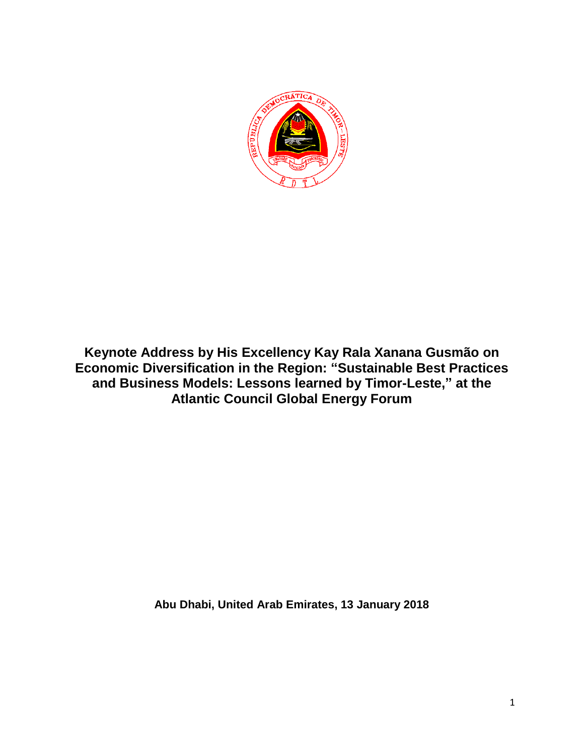

**Keynote Address by His Excellency Kay Rala Xanana Gusmão on Economic Diversification in the Region: "Sustainable Best Practices and Business Models: Lessons learned by Timor-Leste," at the Atlantic Council Global Energy Forum** 

**Abu Dhabi, United Arab Emirates, 13 January 2018**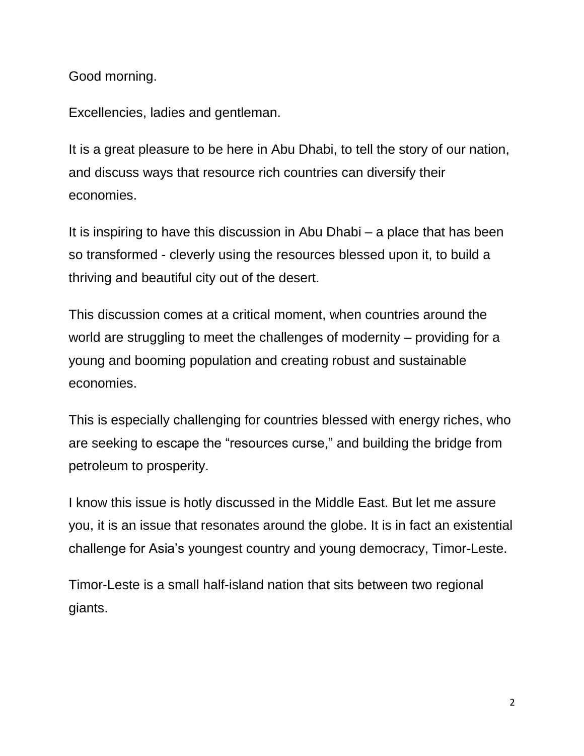Good morning.

Excellencies, ladies and gentleman.

It is a great pleasure to be here in Abu Dhabi, to tell the story of our nation, and discuss ways that resource rich countries can diversify their economies.

It is inspiring to have this discussion in Abu Dhabi – a place that has been so transformed - cleverly using the resources blessed upon it, to build a thriving and beautiful city out of the desert.

This discussion comes at a critical moment, when countries around the world are struggling to meet the challenges of modernity – providing for a young and booming population and creating robust and sustainable economies.

This is especially challenging for countries blessed with energy riches, who are seeking to escape the "resources curse," and building the bridge from petroleum to prosperity.

I know this issue is hotly discussed in the Middle East. But let me assure you, it is an issue that resonates around the globe. It is in fact an existential challenge for Asia's youngest country and young democracy, Timor-Leste.

Timor-Leste is a small half-island nation that sits between two regional giants.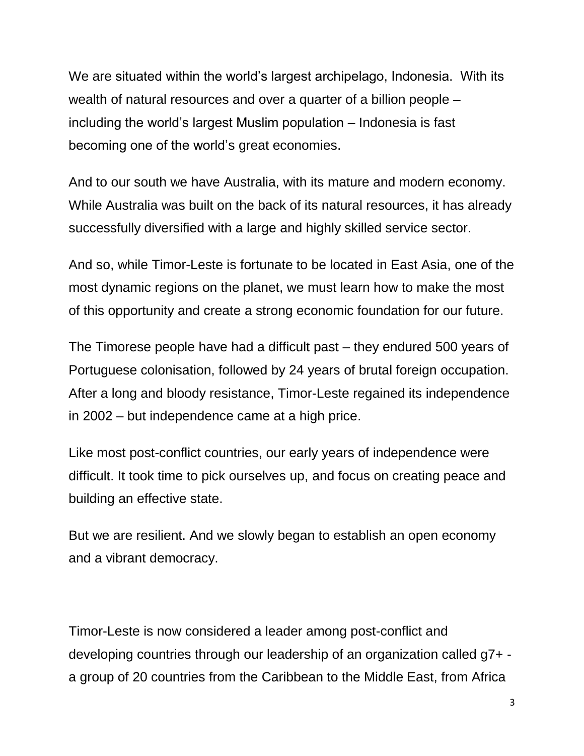We are situated within the world's largest archipelago, Indonesia. With its wealth of natural resources and over a quarter of a billion people – including the world's largest Muslim population – Indonesia is fast becoming one of the world's great economies.

And to our south we have Australia, with its mature and modern economy. While Australia was built on the back of its natural resources, it has already successfully diversified with a large and highly skilled service sector.

And so, while Timor-Leste is fortunate to be located in East Asia, one of the most dynamic regions on the planet, we must learn how to make the most of this opportunity and create a strong economic foundation for our future.

The Timorese people have had a difficult past – they endured 500 years of Portuguese colonisation, followed by 24 years of brutal foreign occupation. After a long and bloody resistance, Timor-Leste regained its independence in 2002 – but independence came at a high price.

Like most post-conflict countries, our early years of independence were difficult. It took time to pick ourselves up, and focus on creating peace and building an effective state.

But we are resilient. And we slowly began to establish an open economy and a vibrant democracy.

Timor-Leste is now considered a leader among post-conflict and developing countries through our leadership of an organization called g7+ a group of 20 countries from the Caribbean to the Middle East, from Africa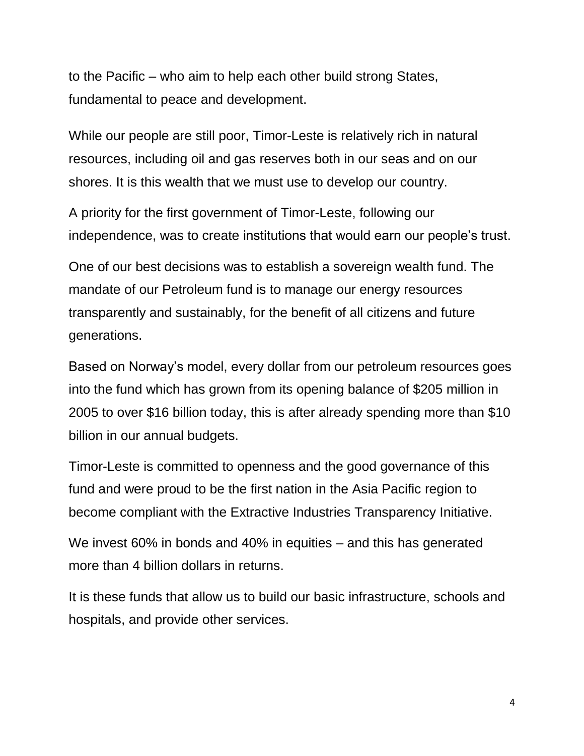to the Pacific – who aim to help each other build strong States, fundamental to peace and development.

While our people are still poor, Timor-Leste is relatively rich in natural resources, including oil and gas reserves both in our seas and on our shores. It is this wealth that we must use to develop our country.

A priority for the first government of Timor-Leste, following our independence, was to create institutions that would earn our people's trust.

One of our best decisions was to establish a sovereign wealth fund. The mandate of our Petroleum fund is to manage our energy resources transparently and sustainably, for the benefit of all citizens and future generations.

Based on Norway's model, every dollar from our petroleum resources goes into the fund which has grown from its opening balance of \$205 million in 2005 to over \$16 billion today, this is after already spending more than \$10 billion in our annual budgets.

Timor-Leste is committed to openness and the good governance of this fund and were proud to be the first nation in the Asia Pacific region to become compliant with the Extractive Industries Transparency Initiative.

We invest 60% in bonds and 40% in equities – and this has generated more than 4 billion dollars in returns.

It is these funds that allow us to build our basic infrastructure, schools and hospitals, and provide other services.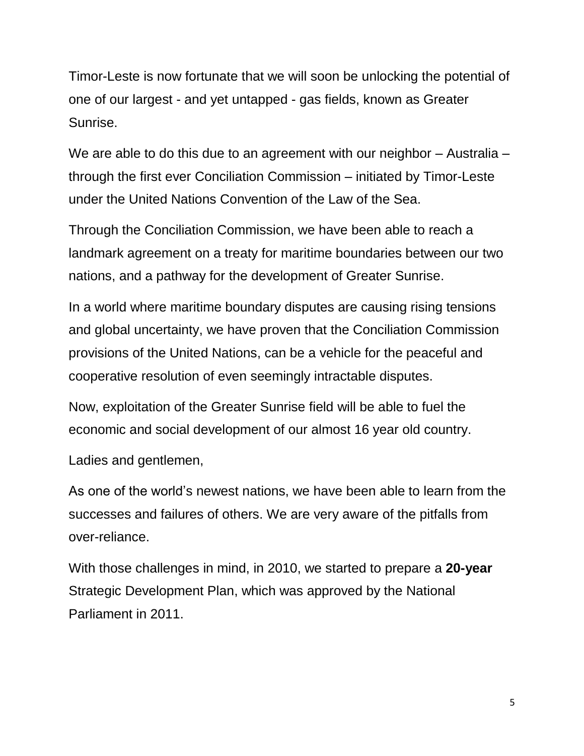Timor-Leste is now fortunate that we will soon be unlocking the potential of one of our largest - and yet untapped - gas fields, known as Greater Sunrise.

We are able to do this due to an agreement with our neighbor - Australia through the first ever Conciliation Commission – initiated by Timor-Leste under the United Nations Convention of the Law of the Sea.

Through the Conciliation Commission, we have been able to reach a landmark agreement on a treaty for maritime boundaries between our two nations, and a pathway for the development of Greater Sunrise.

In a world where maritime boundary disputes are causing rising tensions and global uncertainty, we have proven that the Conciliation Commission provisions of the United Nations, can be a vehicle for the peaceful and cooperative resolution of even seemingly intractable disputes.

Now, exploitation of the Greater Sunrise field will be able to fuel the economic and social development of our almost 16 year old country.

Ladies and gentlemen,

As one of the world's newest nations, we have been able to learn from the successes and failures of others. We are very aware of the pitfalls from over-reliance.

With those challenges in mind, in 2010, we started to prepare a **20-year**  Strategic Development Plan, which was approved by the National Parliament in 2011.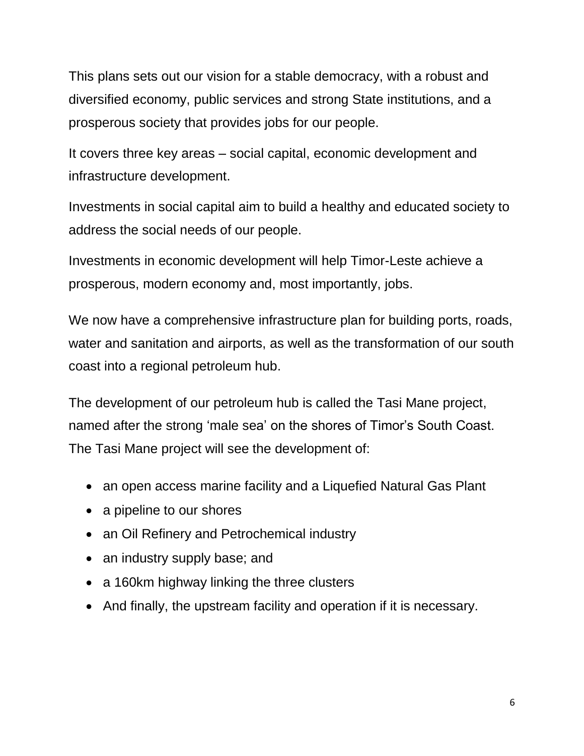This plans sets out our vision for a stable democracy, with a robust and diversified economy, public services and strong State institutions, and a prosperous society that provides jobs for our people.

It covers three key areas – social capital, economic development and infrastructure development.

Investments in social capital aim to build a healthy and educated society to address the social needs of our people.

Investments in economic development will help Timor-Leste achieve a prosperous, modern economy and, most importantly, jobs.

We now have a comprehensive infrastructure plan for building ports, roads, water and sanitation and airports, as well as the transformation of our south coast into a regional petroleum hub.

The development of our petroleum hub is called the Tasi Mane project, named after the strong 'male sea' on the shores of Timor's South Coast. The Tasi Mane project will see the development of:

- an open access marine facility and a Liquefied Natural Gas Plant
- a pipeline to our shores
- an Oil Refinery and Petrochemical industry
- an industry supply base; and
- a 160km highway linking the three clusters
- And finally, the upstream facility and operation if it is necessary.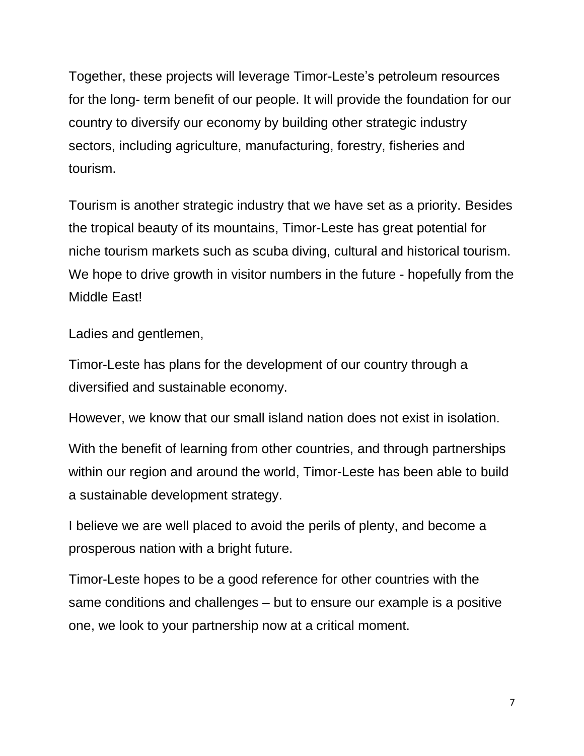Together, these projects will leverage Timor-Leste's petroleum resources for the long- term benefit of our people. It will provide the foundation for our country to diversify our economy by building other strategic industry sectors, including agriculture, manufacturing, forestry, fisheries and tourism.

Tourism is another strategic industry that we have set as a priority. Besides the tropical beauty of its mountains, Timor-Leste has great potential for niche tourism markets such as scuba diving, cultural and historical tourism. We hope to drive growth in visitor numbers in the future - hopefully from the Middle East!

Ladies and gentlemen,

Timor-Leste has plans for the development of our country through a diversified and sustainable economy.

However, we know that our small island nation does not exist in isolation.

With the benefit of learning from other countries, and through partnerships within our region and around the world, Timor-Leste has been able to build a sustainable development strategy.

I believe we are well placed to avoid the perils of plenty, and become a prosperous nation with a bright future.

Timor-Leste hopes to be a good reference for other countries with the same conditions and challenges – but to ensure our example is a positive one, we look to your partnership now at a critical moment.